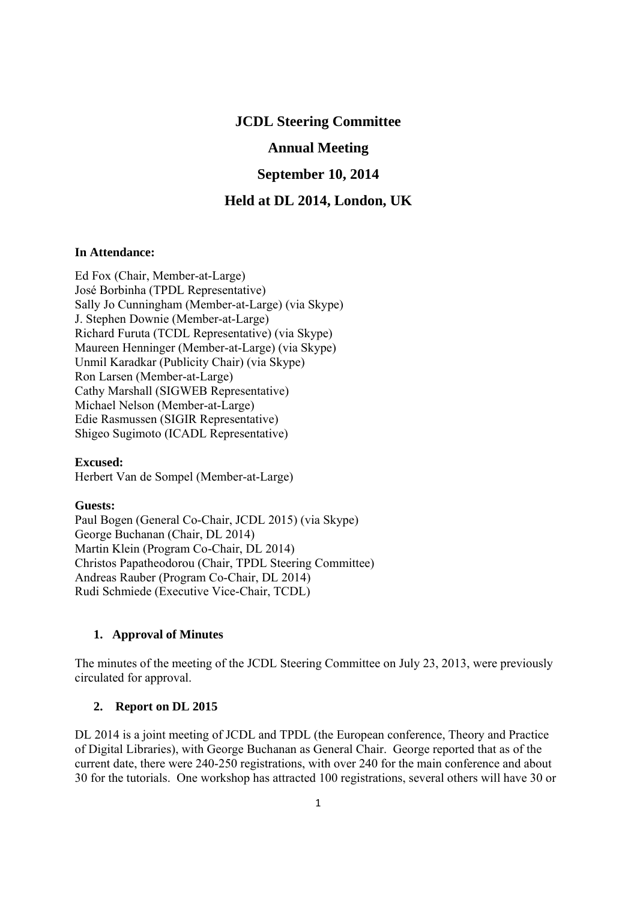# **JCDL Steering Committee**

# **Annual Meeting**

## **September 10, 2014**

### **Held at DL 2014, London, UK**

### **In Attendance:**

Ed Fox (Chair, Member-at-Large) José Borbinha (TPDL Representative) Sally Jo Cunningham (Member-at-Large) (via Skype) J. Stephen Downie (Member-at-Large) Richard Furuta (TCDL Representative) (via Skype) Maureen Henninger (Member-at-Large) (via Skype) Unmil Karadkar (Publicity Chair) (via Skype) Ron Larsen (Member-at-Large) Cathy Marshall (SIGWEB Representative) Michael Nelson (Member-at-Large) Edie Rasmussen (SIGIR Representative) Shigeo Sugimoto (ICADL Representative)

**Excused:**  Herbert Van de Sompel (Member-at-Large)

#### **Guests:**

Paul Bogen (General Co-Chair, JCDL 2015) (via Skype) George Buchanan (Chair, DL 2014) Martin Klein (Program Co-Chair, DL 2014) Christos Papatheodorou (Chair, TPDL Steering Committee) Andreas Rauber (Program Co-Chair, DL 2014) Rudi Schmiede (Executive Vice-Chair, TCDL)

#### **1. Approval of Minutes**

The minutes of the meeting of the JCDL Steering Committee on July 23, 2013, were previously circulated for approval.

### **2. Report on DL 2015**

DL 2014 is a joint meeting of JCDL and TPDL (the European conference, Theory and Practice of Digital Libraries), with George Buchanan as General Chair. George reported that as of the current date, there were 240-250 registrations, with over 240 for the main conference and about 30 for the tutorials. One workshop has attracted 100 registrations, several others will have 30 or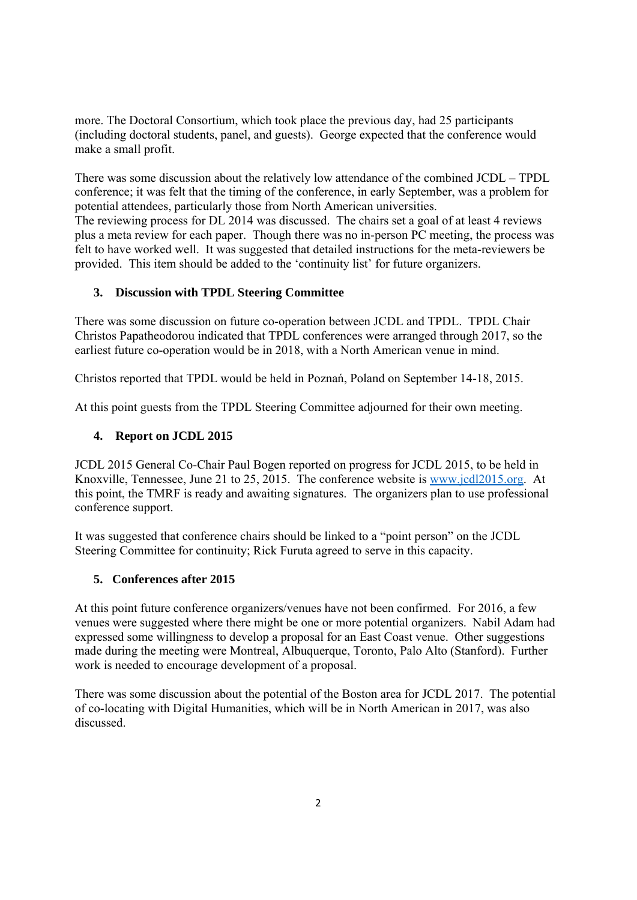more. The Doctoral Consortium, which took place the previous day, had 25 participants (including doctoral students, panel, and guests). George expected that the conference would make a small profit.

There was some discussion about the relatively low attendance of the combined JCDL – TPDL conference; it was felt that the timing of the conference, in early September, was a problem for potential attendees, particularly those from North American universities. The reviewing process for DL 2014 was discussed. The chairs set a goal of at least 4 reviews plus a meta review for each paper. Though there was no in-person PC meeting, the process was felt to have worked well. It was suggested that detailed instructions for the meta-reviewers be provided. This item should be added to the 'continuity list' for future organizers.

# **3. Discussion with TPDL Steering Committee**

There was some discussion on future co-operation between JCDL and TPDL. TPDL Chair Christos Papatheodorou indicated that TPDL conferences were arranged through 2017, so the earliest future co-operation would be in 2018, with a North American venue in mind.

Christos reported that TPDL would be held in Poznań, Poland on September 14-18, 2015.

At this point guests from the TPDL Steering Committee adjourned for their own meeting.

### **4. Report on JCDL 2015**

JCDL 2015 General Co-Chair Paul Bogen reported on progress for JCDL 2015, to be held in Knoxville, Tennessee, June 21 to 25, 2015. The conference website is www.jcdl2015.org. At this point, the TMRF is ready and awaiting signatures. The organizers plan to use professional conference support.

It was suggested that conference chairs should be linked to a "point person" on the JCDL Steering Committee for continuity; Rick Furuta agreed to serve in this capacity.

### **5. Conferences after 2015**

At this point future conference organizers/venues have not been confirmed. For 2016, a few venues were suggested where there might be one or more potential organizers. Nabil Adam had expressed some willingness to develop a proposal for an East Coast venue. Other suggestions made during the meeting were Montreal, Albuquerque, Toronto, Palo Alto (Stanford). Further work is needed to encourage development of a proposal.

There was some discussion about the potential of the Boston area for JCDL 2017. The potential of co-locating with Digital Humanities, which will be in North American in 2017, was also discussed.